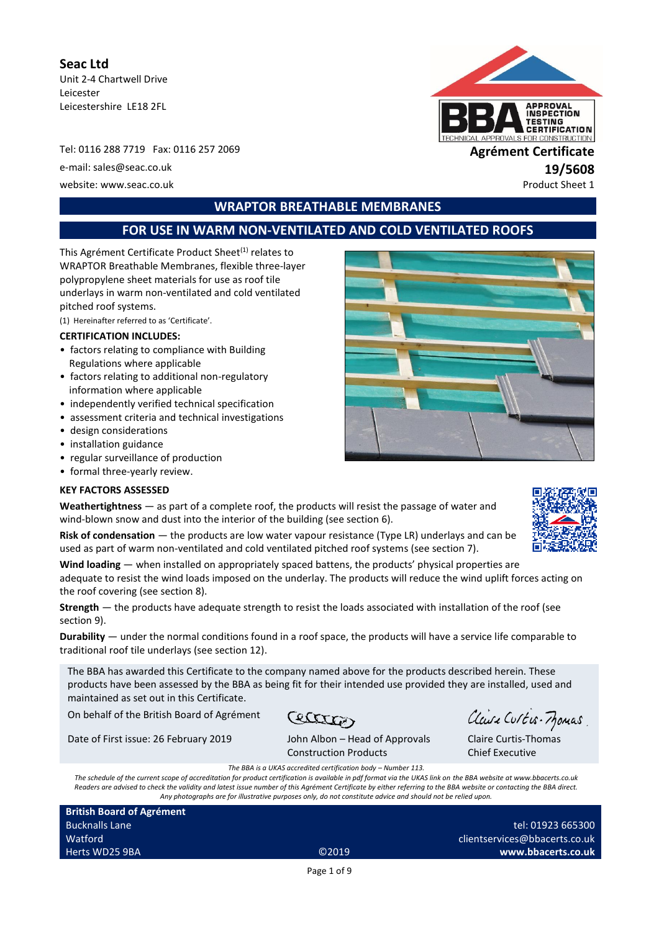**Seac Ltd** Unit 2-4 Chartwell Drive Leicester Leicestershire LE18 2FL

Tel: 0116 288 7719 Fax: 0116 257 2069 **Agrément Certificate** e-mail: sales@seac.co.uk **19/5608** website: www.seac.co.uk example of the example of the example of the example of the example of the example of the example of the example of the example of the example of the example of the example of the example of the exa



# **WRAPTOR BREATHABLE MEMBRANES**

# **FOR USE IN WARM NON-VENTILATED AND COLD VENTILATED ROOFS**

This Agrément Certificate Product Sheet<sup>(1)</sup> relates to WRAPTOR Breathable Membranes, flexible three-layer polypropylene sheet materials for use as roof tile underlays in warm non-ventilated and cold ventilated pitched roof systems.

(1) Hereinafter referred to as 'Certificate'.

### **CERTIFICATION INCLUDES:**

- factors relating to compliance with Building Regulations where applicable
- factors relating to additional non-regulatory information where applicable
- independently verified technical specification
- assessment criteria and technical investigations
- design considerations
- installation guidance
- regular surveillance of production
- formal three-yearly review.

#### **KEY FACTORS ASSESSED**

**Weathertightness** — as part of a complete roof, the products will resist the passage of water and wind-blown snow and dust into the interior of the building (see section 6).

**Risk of condensation** — the products are low water vapour resistance (Type LR) underlays and can be used as part of warm non-ventilated and cold ventilated pitched roof systems (see section 7).

**Wind loading** — when installed on appropriately spaced battens, the products' physical properties are adequate to resist the wind loads imposed on the underlay. The products will reduce the wind uplift forces acting on the roof covering (see section 8).

**Strength** — the products have adequate strength to resist the loads associated with installation of the roof (see section 9).

**Durability** — under the normal conditions found in a roof space, the products will have a service life comparable to traditional roof tile underlays (see section 12).

The BBA has awarded this Certificate to the company named above for the products described herein. These products have been assessed by the BBA as being fit for their intended use provided they are installed, used and maintained as set out in this Certificate.

On behalf of the British Board of Agrément

Date of First issue: 26 February 2019 John Albon – Head of Approvals

Cectation

Claire Curtis-Momas

Claire Curtis-Thomas Chief Executive

Construction Products *The BBA is a UKAS accredited certification body – Number 113.*

*The schedule of the current scope of accreditation for product certification is available in pdf format via the UKAS link on the BBA website at www.bbacerts.co.uk Readers are advised to check the validity and latest issue number of this Agrément Certificate by either referring to the BBA website or contacting the BBA direct. Any photographs are for illustrative purposes only, do not constitute advice and should not be relied upon.*

**British Board of Agrément** Bucknalls Lane Watford Herts WD25 9BA ©2019

tel: 01923 665300 clientservices@bbacerts.co.uk **www.bbacerts.co.uk**

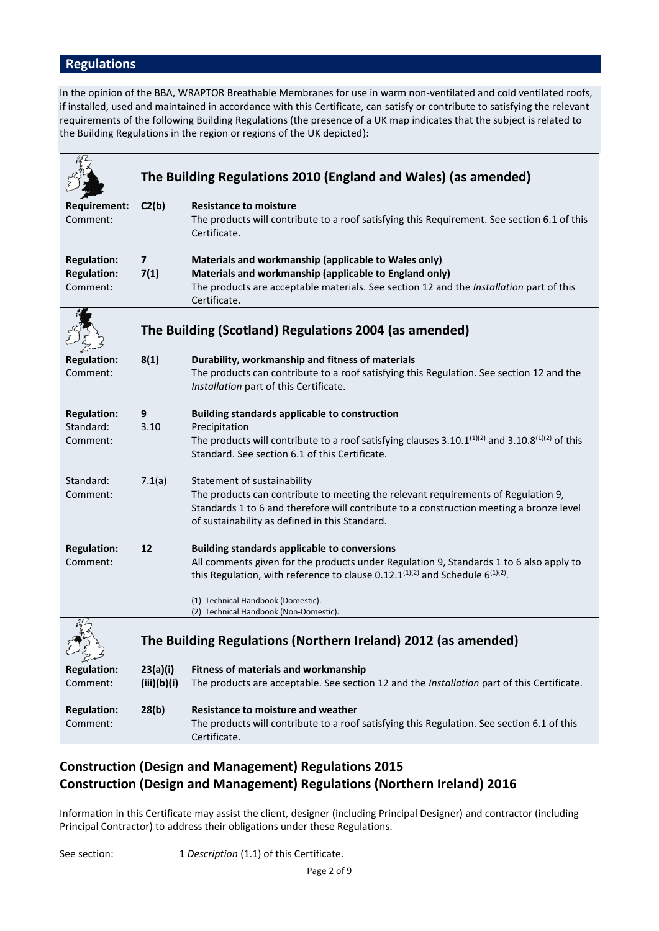# **Regulations**

In the opinion of the BBA, WRAPTOR Breathable Membranes for use in warm non-ventilated and cold ventilated roofs, if installed, used and maintained in accordance with this Certificate, can satisfy or contribute to satisfying the relevant requirements of the following Building Regulations (the presence of a UK map indicates that the subject is related to the Building Regulations in the region or regions of the UK depicted):

|                                                      |                         | The Building Regulations 2010 (England and Wales) (as amended)                                                                                                                                                                                                                                                       |
|------------------------------------------------------|-------------------------|----------------------------------------------------------------------------------------------------------------------------------------------------------------------------------------------------------------------------------------------------------------------------------------------------------------------|
| Requirement:<br>Comment:                             | C2(b)                   | <b>Resistance to moisture</b><br>The products will contribute to a roof satisfying this Requirement. See section 6.1 of this<br>Certificate.                                                                                                                                                                         |
| <b>Regulation:</b><br><b>Regulation:</b><br>Comment: | $\overline{ }$<br>7(1)  | Materials and workmanship (applicable to Wales only)<br>Materials and workmanship (applicable to England only)<br>The products are acceptable materials. See section 12 and the Installation part of this<br>Certificate.                                                                                            |
|                                                      |                         | The Building (Scotland) Regulations 2004 (as amended)                                                                                                                                                                                                                                                                |
| <b>Regulation:</b><br>Comment:                       | 8(1)                    | Durability, workmanship and fitness of materials<br>The products can contribute to a roof satisfying this Regulation. See section 12 and the<br>Installation part of this Certificate.                                                                                                                               |
| <b>Regulation:</b><br>Standard:<br>Comment:          | 9<br>3.10               | <b>Building standards applicable to construction</b><br>Precipitation<br>The products will contribute to a roof satisfying clauses 3.10.1 $(1)(2)$ and 3.10.8 $(1)(2)$ of this<br>Standard. See section 6.1 of this Certificate.                                                                                     |
| Standard:<br>Comment:                                | 7.1(a)                  | Statement of sustainability<br>The products can contribute to meeting the relevant requirements of Regulation 9,<br>Standards 1 to 6 and therefore will contribute to a construction meeting a bronze level<br>of sustainability as defined in this Standard.                                                        |
| <b>Regulation:</b><br>Comment:                       | 12                      | <b>Building standards applicable to conversions</b><br>All comments given for the products under Regulation 9, Standards 1 to 6 also apply to<br>this Regulation, with reference to clause 0.12.1 $(1)(2)$ and Schedule 6 $(1)(2)$ .<br>(1) Technical Handbook (Domestic).<br>(2) Technical Handbook (Non-Domestic). |
|                                                      |                         | The Building Regulations (Northern Ireland) 2012 (as amended)                                                                                                                                                                                                                                                        |
| <b>Regulation:</b><br>Comment:                       | 23(a)(i)<br>(iii)(b)(i) | <b>Fitness of materials and workmanship</b><br>The products are acceptable. See section 12 and the Installation part of this Certificate.                                                                                                                                                                            |
| <b>Regulation:</b><br>Comment:                       | 28(b)                   | <b>Resistance to moisture and weather</b><br>The products will contribute to a roof satisfying this Regulation. See section 6.1 of this<br>Certificate.                                                                                                                                                              |

# **Construction (Design and Management) Regulations 2015 Construction (Design and Management) Regulations (Northern Ireland) 2016**

Information in this Certificate may assist the client, designer (including Principal Designer) and contractor (including Principal Contractor) to address their obligations under these Regulations.

See section: 1 *Description* (1.1) of this Certificate.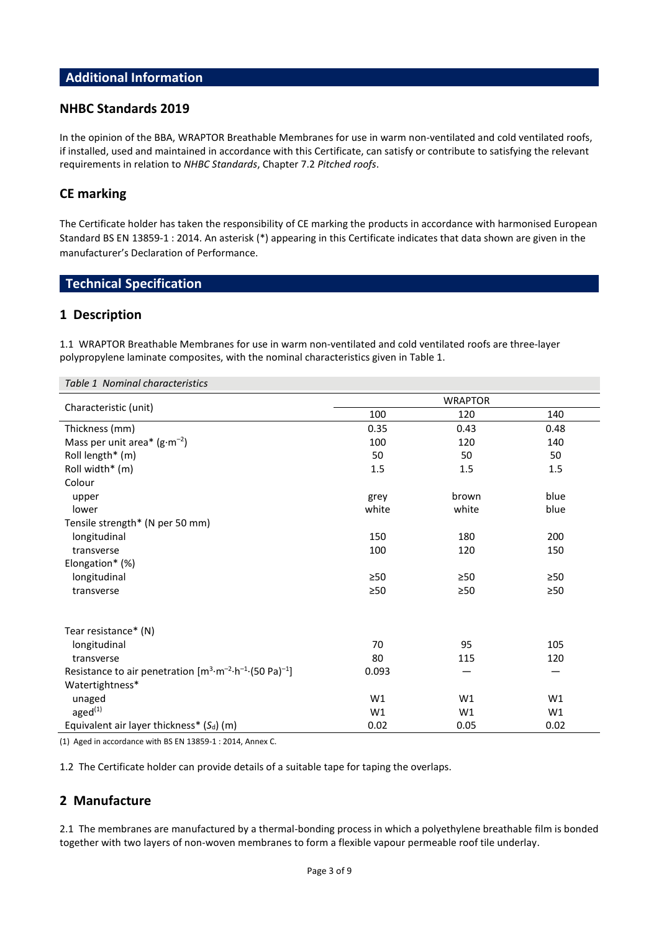# **Additional Information**

# **NHBC Standards 2019**

In the opinion of the BBA, WRAPTOR Breathable Membranes for use in warm non-ventilated and cold ventilated roofs, if installed, used and maintained in accordance with this Certificate, can satisfy or contribute to satisfying the relevant requirements in relation to *NHBC Standards*, Chapter 7.2 *Pitched roofs*.

# **CE marking**

The Certificate holder has taken the responsibility of CE marking the products in accordance with harmonised European Standard BS EN 13859-1 : 2014. An asterisk (\*) appearing in this Certificate indicates that data shown are given in the manufacturer's Declaration of Performance.

# **Technical Specification**

### **1 Description**

1.1 WRAPTOR Breathable Membranes for use in warm non-ventilated and cold ventilated roofs are three-layer polypropylene laminate composites, with the nominal characteristics given in Table 1.

| Table 1 Nominal characteristics                                                            |                |           |           |  |
|--------------------------------------------------------------------------------------------|----------------|-----------|-----------|--|
|                                                                                            | <b>WRAPTOR</b> |           |           |  |
| Characteristic (unit)                                                                      | 100            | 120       | 140       |  |
| Thickness (mm)                                                                             | 0.35           | 0.43      | 0.48      |  |
| Mass per unit area* $(g \cdot m^{-2})$                                                     | 100            | 120       | 140       |  |
| Roll length* (m)                                                                           | 50             | 50        | 50        |  |
| Roll width* (m)                                                                            | 1.5            | 1.5       | 1.5       |  |
| Colour                                                                                     |                |           |           |  |
| upper                                                                                      | grey           | brown     | blue      |  |
| lower                                                                                      | white          | white     | blue      |  |
| Tensile strength* (N per 50 mm)                                                            |                |           |           |  |
| longitudinal                                                                               | 150            | 180       | 200       |  |
| transverse                                                                                 | 100            | 120       | 150       |  |
| Elongation* (%)                                                                            |                |           |           |  |
| longitudinal                                                                               | $\geq 50$      | $\geq 50$ | >50       |  |
| transverse                                                                                 | >50            | >50       | $\geq 50$ |  |
|                                                                                            |                |           |           |  |
| Tear resistance* (N)                                                                       |                |           |           |  |
| longitudinal                                                                               | 70             | 95        | 105       |  |
| transverse                                                                                 | 80             | 115       | 120       |  |
| Resistance to air penetration $[m^3 \cdot m^{-2} \cdot h^{-1} \cdot (50 \text{ Pa})^{-1}]$ | 0.093          |           |           |  |
| Watertightness*                                                                            |                |           |           |  |
| unaged                                                                                     | W1             | W1        | W1        |  |
| aged $(1)$                                                                                 | W1             | W1        | W1        |  |
| Equivalent air layer thickness* $(S_d)$ (m)                                                | 0.02           | 0.05      | 0.02      |  |

(1) Aged in accordance with BS EN 13859-1 : 2014, Annex C.

1.2 The Certificate holder can provide details of a suitable tape for taping the overlaps.

# **2 Manufacture**

2.1 The membranes are manufactured by a thermal-bonding process in which a polyethylene breathable film is bonded together with two layers of non-woven membranes to form a flexible vapour permeable roof tile underlay.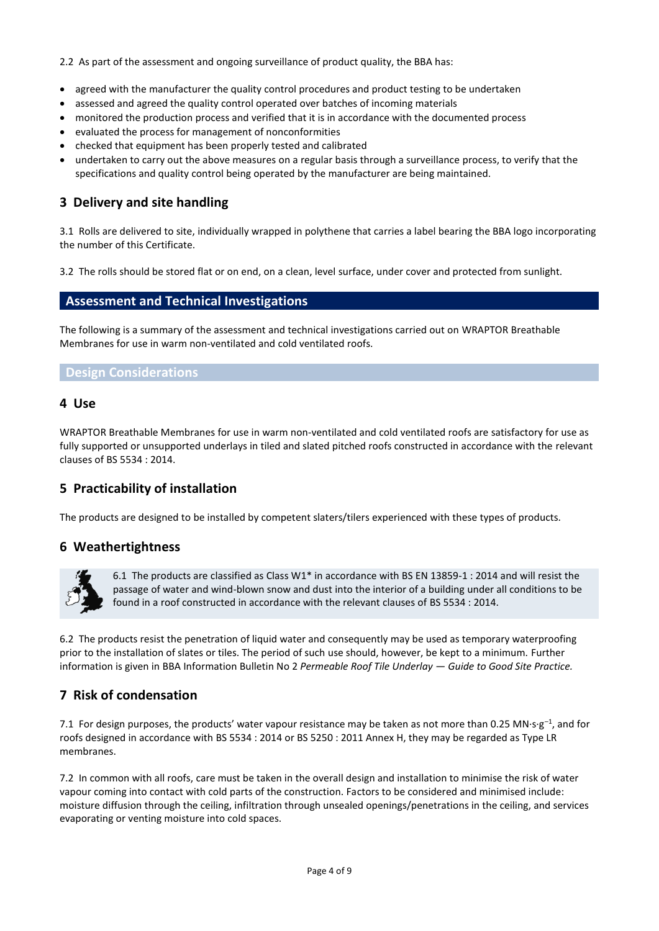2.2 As part of the assessment and ongoing surveillance of product quality, the BBA has:

- agreed with the manufacturer the quality control procedures and product testing to be undertaken
- assessed and agreed the quality control operated over batches of incoming materials
- monitored the production process and verified that it is in accordance with the documented process
- evaluated the process for management of nonconformities
- checked that equipment has been properly tested and calibrated
- undertaken to carry out the above measures on a regular basis through a surveillance process, to verify that the specifications and quality control being operated by the manufacturer are being maintained.

# **3 Delivery and site handling**

3.1 Rolls are delivered to site, individually wrapped in polythene that carries a label bearing the BBA logo incorporating the number of this Certificate.

3.2 The rolls should be stored flat or on end, on a clean, level surface, under cover and protected from sunlight.

### **Assessment and Technical Investigations**

The following is a summary of the assessment and technical investigations carried out on WRAPTOR Breathable Membranes for use in warm non-ventilated and cold ventilated roofs.

# **Design Considerations**

### **4 Use**

WRAPTOR Breathable Membranes for use in warm non-ventilated and cold ventilated roofs are satisfactory for use as fully supported or unsupported underlays in tiled and slated pitched roofs constructed in accordance with the relevant clauses of BS 5534 : 2014.

# **5 Practicability of installation**

The products are designed to be installed by competent slaters/tilers experienced with these types of products.

# **6 Weathertightness**



6.1 The products are classified as Class W1\* in accordance with BS EN 13859-1 : 2014 and will resist the passage of water and wind-blown snow and dust into the interior of a building under all conditions to be found in a roof constructed in accordance with the relevant clauses of BS 5534 : 2014.

6.2 The products resist the penetration of liquid water and consequently may be used as temporary waterproofing prior to the installation of slates or tiles. The period of such use should, however, be kept to a minimum. Further information is given in BBA Information Bulletin No 2 *Permeable Roof Tile Underlay — Guide to Good Site Practice.*

# **7 Risk of condensation**

7.1 For design purposes, the products' water vapour resistance may be taken as not more than 0.25 MN⋅s⋅g<sup>-1</sup>, and for roofs designed in accordance with BS 5534 : 2014 or BS 5250 : 2011 Annex H, they may be regarded as Type LR membranes.

7.2 In common with all roofs, care must be taken in the overall design and installation to minimise the risk of water vapour coming into contact with cold parts of the construction. Factors to be considered and minimised include: moisture diffusion through the ceiling, infiltration through unsealed openings/penetrations in the ceiling, and services evaporating or venting moisture into cold spaces.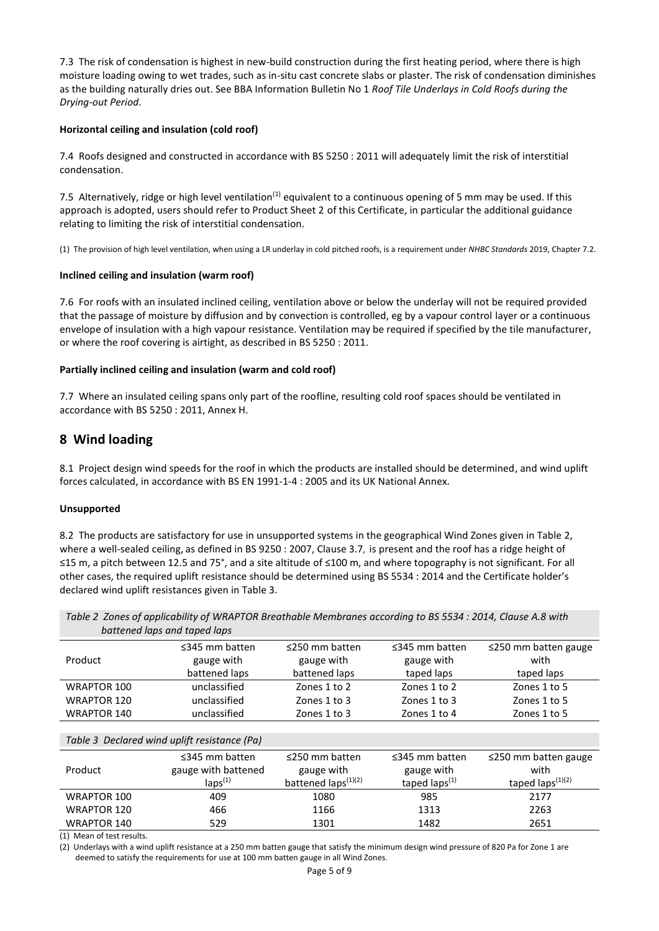7.3 The risk of condensation is highest in new-build construction during the first heating period, where there is high moisture loading owing to wet trades, such as in-situ cast concrete slabs or plaster. The risk of condensation diminishes as the building naturally dries out. See BBA Information Bulletin No 1 *Roof Tile Underlays in Cold Roofs during the Drying-out Period*.

#### **Horizontal ceiling and insulation (cold roof)**

7.4 Roofs designed and constructed in accordance with BS 5250 : 2011 will adequately limit the risk of interstitial condensation.

7.5 Alternatively, ridge or high level ventilation<sup>(1)</sup> equivalent to a continuous opening of 5 mm may be used. If this approach is adopted, users should refer to Product Sheet 2 of this Certificate, in particular the additional guidance relating to limiting the risk of interstitial condensation.

(1) The provision of high level ventilation, when using a LR underlay in cold pitched roofs, is a requirement under *NHBC Standards* 2019, Chapter 7.2.

#### **Inclined ceiling and insulation (warm roof)**

7.6 For roofs with an insulated inclined ceiling, ventilation above or below the underlay will not be required provided that the passage of moisture by diffusion and by convection is controlled, eg by a vapour control layer or a continuous envelope of insulation with a high vapour resistance. Ventilation may be required if specified by the tile manufacturer, or where the roof covering is airtight, as described in BS 5250 : 2011.

#### **Partially inclined ceiling and insulation (warm and cold roof)**

7.7 Where an insulated ceiling spans only part of the roofline, resulting cold roof spaces should be ventilated in accordance with BS 5250 : 2011, Annex H.

# **8 Wind loading**

8.1 Project design wind speeds for the roof in which the products are installed should be determined, and wind uplift forces calculated, in accordance with BS EN 1991-1-4 : 2005 and its UK National Annex.

#### **Unsupported**

8.2 The products are satisfactory for use in unsupported systems in the geographical Wind Zones given in Table 2, where a well-sealed ceiling, as defined in BS 9250 : 2007, Clause 3.7, is present and the roof has a ridge height of ≤15 m, a pitch between 12.5 and 75°, and a site altitude of ≤100 m, and where topography is not significant. For all other cases, the required uplift resistance should be determined using BS 5534 : 2014 and the Certificate holder's declared wind uplift resistances given in Table 3.

*Table 2 Zones of applicability of WRAPTOR Breathable Membranes according to BS 5534 : 2014, Clause A.8 with battened laps and taped laps* 

| Product                                      | $\leq$ 345 mm batten<br>gauge with | $\leq$ 250 mm batten<br>gauge with | $\leq$ 345 mm batten<br>gauge with | $\leq$ 250 mm batten gauge<br>with |
|----------------------------------------------|------------------------------------|------------------------------------|------------------------------------|------------------------------------|
|                                              | battened laps                      | battened laps                      | taped laps                         | taped laps                         |
| <b>WRAPTOR 100</b>                           | unclassified                       | Zones 1 to 2                       | Zones 1 to 2                       | Zones 1 to 5                       |
| <b>WRAPTOR 120</b>                           | unclassified                       | Zones 1 to 3                       | Zones 1 to 3                       | Zones 1 to 5                       |
| <b>WRAPTOR 140</b>                           | unclassified                       | Zones 1 to 3                       | Zones 1 to 4                       | Zones 1 to 5                       |
|                                              |                                    |                                    |                                    |                                    |
| Table 3 Declared wind uplift resistance (Pa) |                                    |                                    |                                    |                                    |
|                                              | $\leq$ 345 mm batten               | $\leq$ 250 mm batten               | $\leq$ 345 mm batten               | $\leq$ 250 mm batten gauge         |
| Product                                      | gauge with battened                | gauge with                         | gauge with                         | with                               |
|                                              | $\text{lang}^{(1)}$                | battened laps <sup>(1)(2)</sup>    | taped $\text{lang}^{(1)}$          | taped $\text{lang}(1)(2)$          |
| WRAPTOR 100                                  | 409                                | 1080                               | 985                                | 2177                               |
| <b>WRAPTOR 120</b>                           | 466                                | 1166                               | 1313                               | 2263                               |
| <b>WRAPTOR 140</b>                           | 529                                | 1301                               | 1482                               | 2651                               |

(1) Mean of test results.

(2) Underlays with a wind uplift resistance at a 250 mm batten gauge that satisfy the minimum design wind pressure of 820 Pa for Zone 1 are deemed to satisfy the requirements for use at 100 mm batten gauge in all Wind Zones.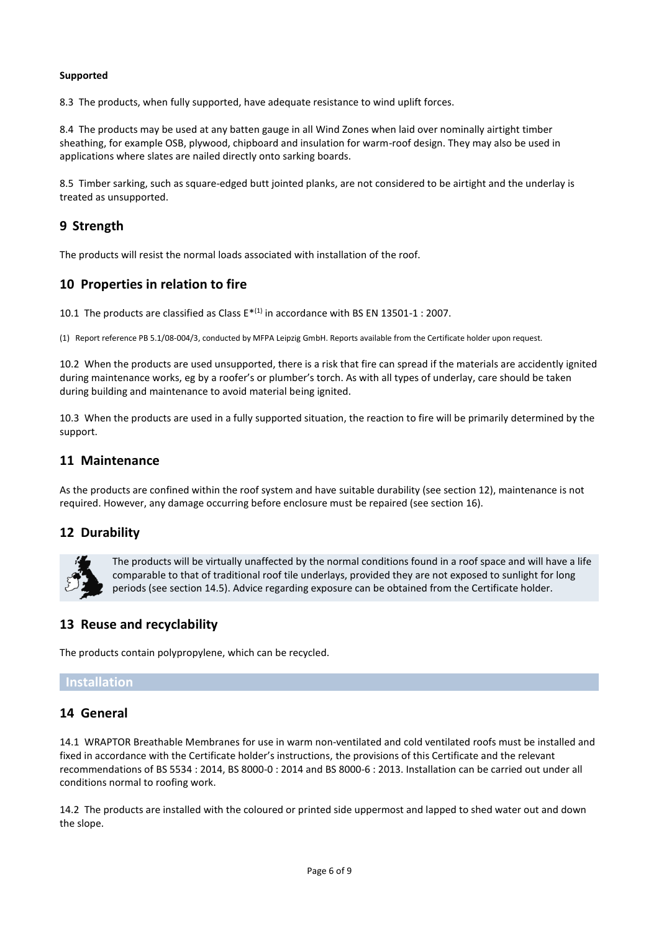#### **Supported**

8.3 The products, when fully supported, have adequate resistance to wind uplift forces.

8.4 The products may be used at any batten gauge in all Wind Zones when laid over nominally airtight timber sheathing, for example OSB, plywood, chipboard and insulation for warm-roof design. They may also be used in applications where slates are nailed directly onto sarking boards.

8.5 Timber sarking, such as square-edged butt jointed planks, are not considered to be airtight and the underlay is treated as unsupported.

# **9 Strength**

The products will resist the normal loads associated with installation of the roof.

# **10 Properties in relation to fire**

10.1 The products are classified as Class  $E^{*(1)}$  in accordance with BS EN 13501-1 : 2007.

(1) Report reference PB 5.1/08-004/3, conducted by MFPA Leipzig GmbH. Reports available from the Certificate holder upon request.

10.2 When the products are used unsupported, there is a risk that fire can spread if the materials are accidently ignited during maintenance works, eg by a roofer's or plumber's torch. As with all types of underlay, care should be taken during building and maintenance to avoid material being ignited.

10.3 When the products are used in a fully supported situation, the reaction to fire will be primarily determined by the support.

### **11 Maintenance**

As the products are confined within the roof system and have suitable durability (see section 12), maintenance is not required. However, any damage occurring before enclosure must be repaired (see section 16).

# **12 Durability**



The products will be virtually unaffected by the normal conditions found in a roof space and will have a life comparable to that of traditional roof tile underlays, provided they are not exposed to sunlight for long periods (see section 14.5). Advice regarding exposure can be obtained from the Certificate holder.

# **13 Reuse and recyclability**

The products contain polypropylene, which can be recycled.

### **Installation**

# **14 General**

14.1 WRAPTOR Breathable Membranes for use in warm non-ventilated and cold ventilated roofs must be installed and fixed in accordance with the Certificate holder's instructions, the provisions of this Certificate and the relevant recommendations of BS 5534 : 2014, BS 8000-0 : 2014 and BS 8000-6 : 2013. Installation can be carried out under all conditions normal to roofing work.

14.2 The products are installed with the coloured or printed side uppermost and lapped to shed water out and down the slope.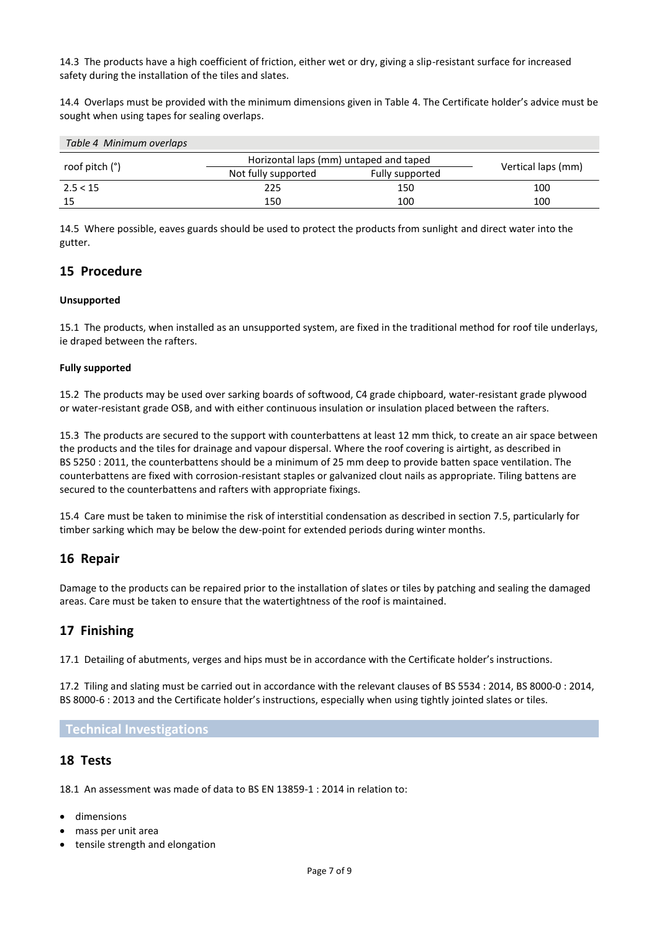14.3 The products have a high coefficient of friction, either wet or dry, giving a slip-resistant surface for increased safety during the installation of the tiles and slates.

14.4 Overlaps must be provided with the minimum dimensions given in Table 4. The Certificate holder's advice must be sought when using tapes for sealing overlaps.

| Table 4 Minimum overlaps |                                        |                 |                    |
|--------------------------|----------------------------------------|-----------------|--------------------|
|                          | Horizontal laps (mm) untaped and taped |                 |                    |
| roof pitch (°)           | Not fully supported                    | Fully supported | Vertical laps (mm) |
| 2.5 < 15                 | 225                                    | 150             | 100                |
| 15                       | 150                                    | 100             | 100                |

14.5 Where possible, eaves guards should be used to protect the products from sunlight and direct water into the gutter.

# **15 Procedure**

#### **Unsupported**

15.1 The products, when installed as an unsupported system, are fixed in the traditional method for roof tile underlays, ie draped between the rafters.

#### **Fully supported**

15.2 The products may be used over sarking boards of softwood, C4 grade chipboard, water-resistant grade plywood or water-resistant grade OSB, and with either continuous insulation or insulation placed between the rafters.

15.3 The products are secured to the support with counterbattens at least 12 mm thick, to create an air space between the products and the tiles for drainage and vapour dispersal. Where the roof covering is airtight, as described in BS 5250 : 2011, the counterbattens should be a minimum of 25 mm deep to provide batten space ventilation. The counterbattens are fixed with corrosion-resistant staples or galvanized clout nails as appropriate. Tiling battens are secured to the counterbattens and rafters with appropriate fixings.

15.4 Care must be taken to minimise the risk of interstitial condensation as described in section 7.5, particularly for timber sarking which may be below the dew-point for extended periods during winter months.

# **16 Repair**

Damage to the products can be repaired prior to the installation of slates or tiles by patching and sealing the damaged areas. Care must be taken to ensure that the watertightness of the roof is maintained.

# **17 Finishing**

17.1 Detailing of abutments, verges and hips must be in accordance with the Certificate holder's instructions.

17.2 Tiling and slating must be carried out in accordance with the relevant clauses of BS 5534 : 2014, BS 8000-0 : 2014, BS 8000-6 : 2013 and the Certificate holder's instructions, especially when using tightly jointed slates or tiles.

### **Technical Investigations**

### **18 Tests**

18.1 An assessment was made of data to BS EN 13859-1 : 2014 in relation to:

- dimensions
- mass per unit area
- tensile strength and elongation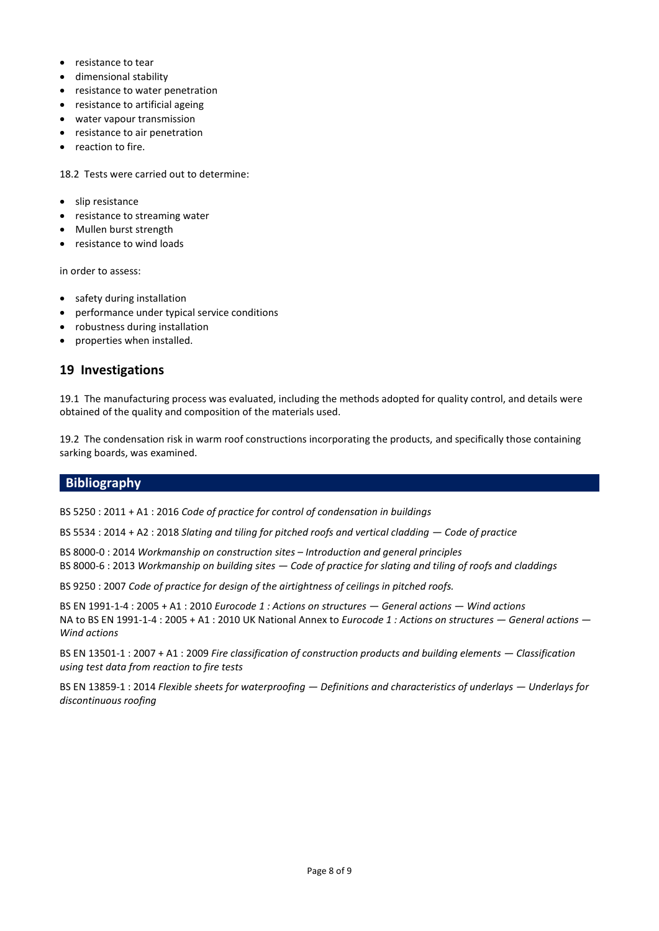- resistance to tear
- dimensional stability
- resistance to water penetration
- resistance to artificial ageing
- water vapour transmission
- resistance to air penetration
- reaction to fire.

18.2 Tests were carried out to determine:

- slip resistance
- resistance to streaming water
- Mullen burst strength
- resistance to wind loads

in order to assess:

- safety during installation
- performance under typical service conditions
- robustness during installation
- properties when installed.

# **19 Investigations**

19.1 The manufacturing process was evaluated, including the methods adopted for quality control, and details were obtained of the quality and composition of the materials used.

19.2 The condensation risk in warm roof constructions incorporating the products, and specifically those containing sarking boards, was examined.

# **Bibliography**

BS 5250 : 2011 + A1 : 2016 *Code of practice for control of condensation in buildings*

BS 5534 : 2014 + A2 : 2018 *Slating and tiling for pitched roofs and vertical cladding — Code of practice*

BS 8000-0 : 2014 *Workmanship on construction sites – Introduction and general principles* BS 8000-6 : 2013 *Workmanship on building sites — Code of practice for slating and tiling of roofs and claddings*

BS 9250 : 2007 *Code of practice for design of the airtightness of ceilings in pitched roofs.*

BS EN 1991-1-4 : 2005 + A1 : 2010 *Eurocode 1 : Actions on structures — General actions — Wind actions* NA to BS EN 1991-1-4 : 2005 + A1 : 2010 UK National Annex to *Eurocode 1 : Actions on structures — General actions — Wind actions*

BS EN 13501-1 : 2007 + A1 : 2009 *Fire classification of construction products and building elements — Classification using test data from reaction to fire tests*

BS EN 13859-1 : 2014 *Flexible sheets for waterproofing — Definitions and characteristics of underlays — Underlays for discontinuous roofing*